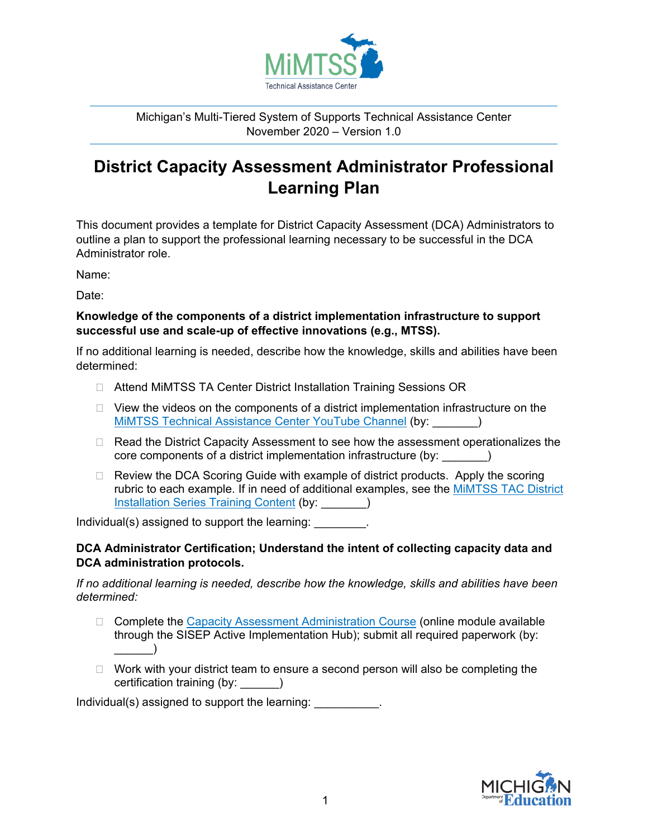

Michigan's Multi-Tiered System of Supports Technical Assistance Center November 2020 – Version 1.0

# **District Capacity Assessment Administrator Professional Learning Plan**

This document provides a template for District Capacity Assessment (DCA) Administrators to outline a plan to support the professional learning necessary to be successful in the DCA Administrator role.

Name:

Date:

### **Knowledge of the components of a district implementation infrastructure to support successful use and scale-up of effective innovations (e.g., MTSS).**

If no additional learning is needed, describe how the knowledge, skills and abilities have been determined:

- □ Attend MiMTSS TA Center District Installation Training Sessions OR
- $\Box$  View the videos on the components of a district implementation infrastructure on the [MiMTSS Technical Assistance Center YouTube Channel](https://www.youtube.com/channel/UCBv-Ta-s7l62KeTgu5Hn8mA) (by: \_\_\_\_\_\_\_)
- $\Box$  Read the District Capacity Assessment to see how the assessment operationalizes the core components of a district implementation infrastructure (by: \_\_\_\_\_\_\_)
- □ Review the DCA Scoring Guide with example of district products. Apply the scoring rubric to each example. If in need of additional examples, see the **MiMTSS TAC District** [Installation Series Training Content](https://mimtsstac.org/training-materials/miblsi/training-sequence#local-districts) (by: )

Individual(s) assigned to support the learning:

## **DCA Administrator Certification; Understand the intent of collecting capacity data and DCA administration protocols.**

*If no additional learning is needed, describe how the knowledge, skills and abilities have been determined:*

- $\Box$  Complete the [Capacity Assessment Administration Course](https://nirn.fpg.unc.edu/resources/capacity-assessment-administration-course) (online module available through the SISEP Active Implementation Hub); submit all required paperwork (by:  $\Box$
- $\Box$  Work with your district team to ensure a second person will also be completing the certification training (by: \_\_\_\_\_\_)

Individual(s) assigned to support the learning: \_\_\_\_\_\_\_\_\_\_\_.

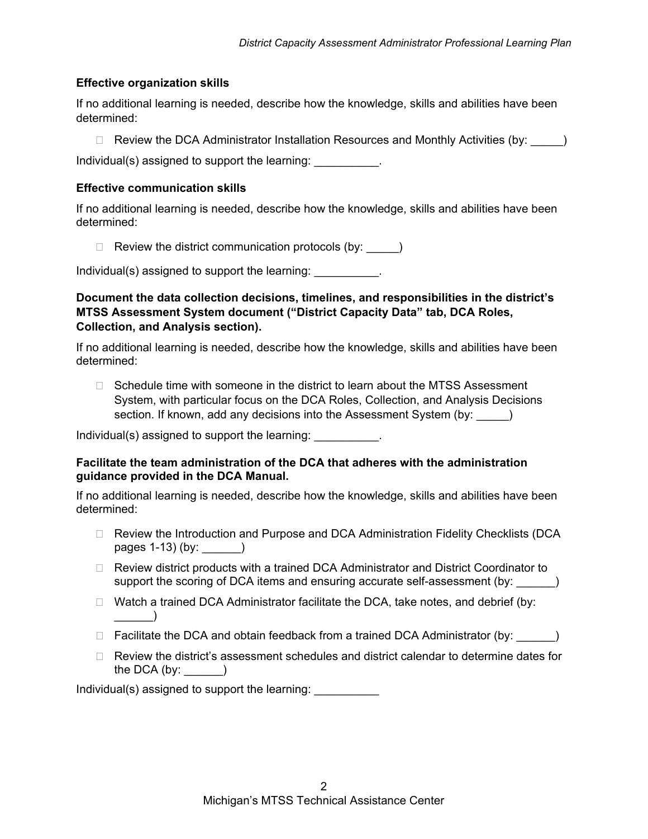#### **Effective organization skills**

If no additional learning is needed, describe how the knowledge, skills and abilities have been determined:

 $\Box$  Review the DCA Administrator Installation Resources and Monthly Activities (by:  $\Box$ )

Individual(s) assigned to support the learning:

#### **Effective communication skills**

If no additional learning is needed, describe how the knowledge, skills and abilities have been determined:

 $\Box$  Review the district communication protocols (by:  $\rule{1em}{0.15mm}$ )

Individual(s) assigned to support the learning: \_\_\_\_\_\_\_\_\_\_\_.

**Document the data collection decisions, timelines, and responsibilities in the district's MTSS Assessment System document ("District Capacity Data" tab, DCA Roles, Collection, and Analysis section).**

If no additional learning is needed, describe how the knowledge, skills and abilities have been determined:

 $\Box$  Schedule time with someone in the district to learn about the MTSS Assessment System, with particular focus on the DCA Roles, Collection, and Analysis Decisions section. If known, add any decisions into the Assessment System (by:  $\qquad)$ 

Individual(s) assigned to support the learning:

#### **Facilitate the team administration of the DCA that adheres with the administration guidance provided in the DCA Manual.**

If no additional learning is needed, describe how the knowledge, skills and abilities have been determined:

- □ Review the Introduction and Purpose and DCA Administration Fidelity Checklists (DCA pages 1-13) (by: \_\_\_\_\_\_)
- □ Review district products with a trained DCA Administrator and District Coordinator to support the scoring of DCA items and ensuring accurate self-assessment (by: \_\_\_\_\_\_)
- $\Box$  Watch a trained DCA Administrator facilitate the DCA, take notes, and debrief (by:  $\qquad \qquad$
- $\Box$  Facilitate the DCA and obtain feedback from a trained DCA Administrator (by:  $\Box$ )
- $\Box$  Review the district's assessment schedules and district calendar to determine dates for the DCA  $(by:$   $)$

Individual(s) assigned to support the learning: